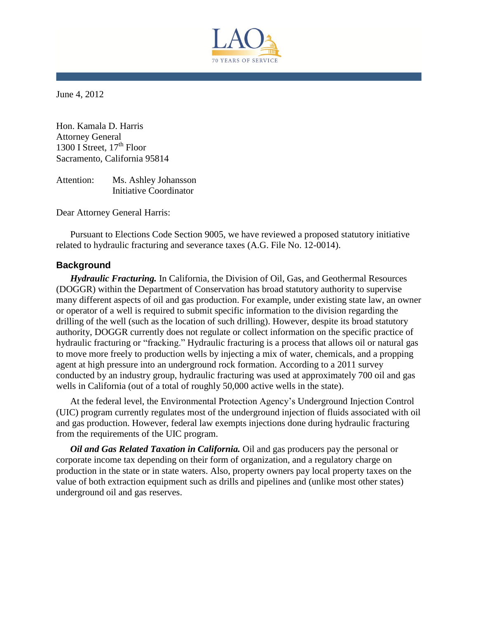

June 4, 2012

Hon. Kamala D. Harris Attorney General 1300 I Street,  $17<sup>th</sup>$  Floor Sacramento, California 95814

Attention: Ms. Ashley Johansson Initiative Coordinator

Dear Attorney General Harris:

Pursuant to Elections Code Section 9005, we have reviewed a proposed statutory initiative related to hydraulic fracturing and severance taxes (A.G. File No. 12-0014).

## **Background**

*Hydraulic Fracturing.* In California, the Division of Oil, Gas, and Geothermal Resources (DOGGR) within the Department of Conservation has broad statutory authority to supervise many different aspects of oil and gas production. For example, under existing state law, an owner or operator of a well is required to submit specific information to the division regarding the drilling of the well (such as the location of such drilling). However, despite its broad statutory authority, DOGGR currently does not regulate or collect information on the specific practice of hydraulic fracturing or "fracking." Hydraulic fracturing is a process that allows oil or natural gas to move more freely to production wells by injecting a mix of water, chemicals, and a propping agent at high pressure into an underground rock formation. According to a 2011 survey conducted by an industry group, hydraulic fracturing was used at approximately 700 oil and gas wells in California (out of a total of roughly 50,000 active wells in the state).

At the federal level, the Environmental Protection Agency's Underground Injection Control (UIC) program currently regulates most of the underground injection of fluids associated with oil and gas production. However, federal law exempts injections done during hydraulic fracturing from the requirements of the UIC program.

*Oil and Gas Related Taxation in California.* Oil and gas producers pay the personal or corporate income tax depending on their form of organization, and a regulatory charge on production in the state or in state waters. Also, property owners pay local property taxes on the value of both extraction equipment such as drills and pipelines and (unlike most other states) underground oil and gas reserves.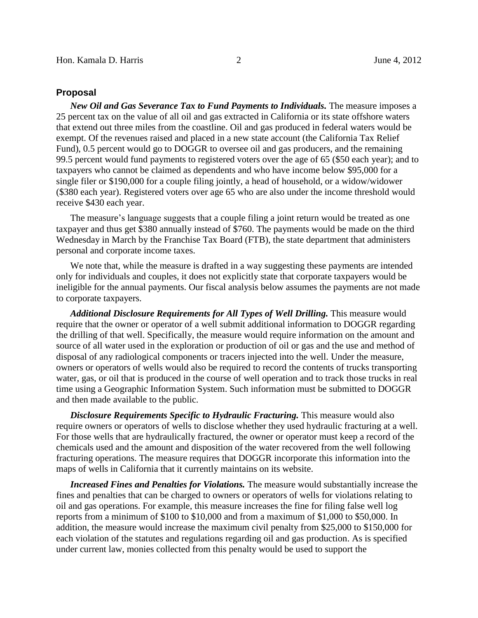## **Proposal**

*New Oil and Gas Severance Tax to Fund Payments to Individuals.* The measure imposes a 25 percent tax on the value of all oil and gas extracted in California or its state offshore waters that extend out three miles from the coastline. Oil and gas produced in federal waters would be exempt. Of the revenues raised and placed in a new state account (the California Tax Relief Fund), 0.5 percent would go to DOGGR to oversee oil and gas producers, and the remaining 99.5 percent would fund payments to registered voters over the age of 65 (\$50 each year); and to taxpayers who cannot be claimed as dependents and who have income below \$95,000 for a single filer or \$190,000 for a couple filing jointly, a head of household, or a widow/widower (\$380 each year). Registered voters over age 65 who are also under the income threshold would receive \$430 each year.

The measure's language suggests that a couple filing a joint return would be treated as one taxpayer and thus get \$380 annually instead of \$760. The payments would be made on the third Wednesday in March by the Franchise Tax Board (FTB), the state department that administers personal and corporate income taxes.

We note that, while the measure is drafted in a way suggesting these payments are intended only for individuals and couples, it does not explicitly state that corporate taxpayers would be ineligible for the annual payments. Our fiscal analysis below assumes the payments are not made to corporate taxpayers.

*Additional Disclosure Requirements for All Types of Well Drilling.* This measure would require that the owner or operator of a well submit additional information to DOGGR regarding the drilling of that well. Specifically, the measure would require information on the amount and source of all water used in the exploration or production of oil or gas and the use and method of disposal of any radiological components or tracers injected into the well. Under the measure, owners or operators of wells would also be required to record the contents of trucks transporting water, gas, or oil that is produced in the course of well operation and to track those trucks in real time using a Geographic Information System. Such information must be submitted to DOGGR and then made available to the public.

*Disclosure Requirements Specific to Hydraulic Fracturing.* This measure would also require owners or operators of wells to disclose whether they used hydraulic fracturing at a well. For those wells that are hydraulically fractured, the owner or operator must keep a record of the chemicals used and the amount and disposition of the water recovered from the well following fracturing operations. The measure requires that DOGGR incorporate this information into the maps of wells in California that it currently maintains on its website.

*Increased Fines and Penalties for Violations.* The measure would substantially increase the fines and penalties that can be charged to owners or operators of wells for violations relating to oil and gas operations. For example, this measure increases the fine for filing false well log reports from a minimum of \$100 to \$10,000 and from a maximum of \$1,000 to \$50,000. In addition, the measure would increase the maximum civil penalty from \$25,000 to \$150,000 for each violation of the statutes and regulations regarding oil and gas production. As is specified under current law, monies collected from this penalty would be used to support the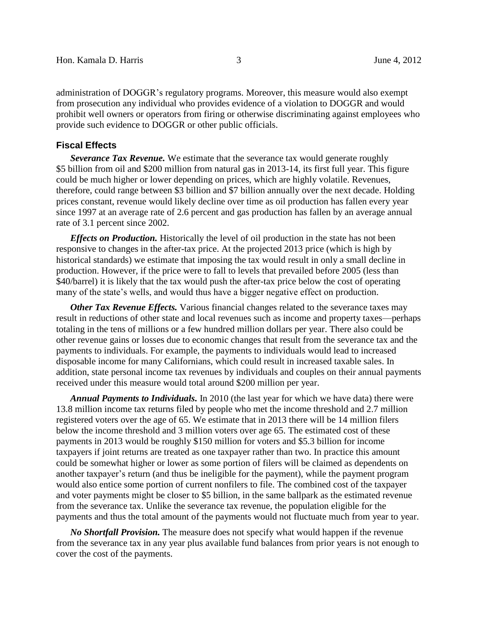administration of DOGGR's regulatory programs. Moreover, this measure would also exempt from prosecution any individual who provides evidence of a violation to DOGGR and would prohibit well owners or operators from firing or otherwise discriminating against employees who provide such evidence to DOGGR or other public officials.

## **Fiscal Effects**

*Severance Tax Revenue.* We estimate that the severance tax would generate roughly \$5 billion from oil and \$200 million from natural gas in 2013-14, its first full year. This figure could be much higher or lower depending on prices, which are highly volatile. Revenues, therefore, could range between \$3 billion and \$7 billion annually over the next decade. Holding prices constant, revenue would likely decline over time as oil production has fallen every year since 1997 at an average rate of 2.6 percent and gas production has fallen by an average annual rate of 3.1 percent since 2002.

*Effects on Production.* Historically the level of oil production in the state has not been responsive to changes in the after-tax price. At the projected 2013 price (which is high by historical standards) we estimate that imposing the tax would result in only a small decline in production. However, if the price were to fall to levels that prevailed before 2005 (less than \$40/barrel) it is likely that the tax would push the after-tax price below the cost of operating many of the state's wells, and would thus have a bigger negative effect on production.

**Other Tax Revenue Effects.** Various financial changes related to the severance taxes may result in reductions of other state and local revenues such as income and property taxes—perhaps totaling in the tens of millions or a few hundred million dollars per year. There also could be other revenue gains or losses due to economic changes that result from the severance tax and the payments to individuals. For example, the payments to individuals would lead to increased disposable income for many Californians, which could result in increased taxable sales. In addition, state personal income tax revenues by individuals and couples on their annual payments received under this measure would total around \$200 million per year.

*Annual Payments to Individuals.* In 2010 (the last year for which we have data) there were 13.8 million income tax returns filed by people who met the income threshold and 2.7 million registered voters over the age of 65. We estimate that in 2013 there will be 14 million filers below the income threshold and 3 million voters over age 65. The estimated cost of these payments in 2013 would be roughly \$150 million for voters and \$5.3 billion for income taxpayers if joint returns are treated as one taxpayer rather than two. In practice this amount could be somewhat higher or lower as some portion of filers will be claimed as dependents on another taxpayer's return (and thus be ineligible for the payment), while the payment program would also entice some portion of current nonfilers to file. The combined cost of the taxpayer and voter payments might be closer to \$5 billion, in the same ballpark as the estimated revenue from the severance tax. Unlike the severance tax revenue, the population eligible for the payments and thus the total amount of the payments would not fluctuate much from year to year.

*No Shortfall Provision.* The measure does not specify what would happen if the revenue from the severance tax in any year plus available fund balances from prior years is not enough to cover the cost of the payments.